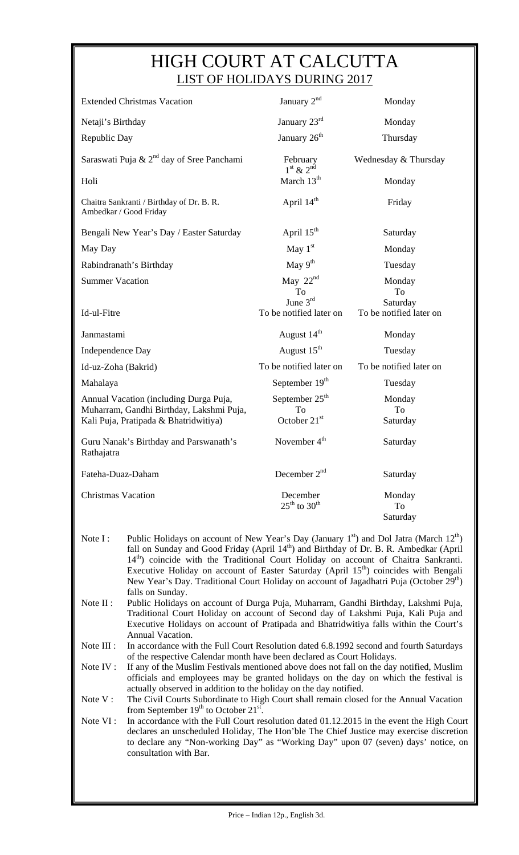## HIGH COURT AT CALCUTTA LIST OF HOLIDAYS DURING 2017

| <b>Extended Christmas Vacation</b>                                                                                                                                                                                                                                                                                        | January 2 <sup>nd</sup>                        | Monday                                    |  |
|---------------------------------------------------------------------------------------------------------------------------------------------------------------------------------------------------------------------------------------------------------------------------------------------------------------------------|------------------------------------------------|-------------------------------------------|--|
| Netaji's Birthday                                                                                                                                                                                                                                                                                                         | January 23rd                                   | Monday                                    |  |
| Republic Day                                                                                                                                                                                                                                                                                                              | January 26 <sup>th</sup>                       | Thursday                                  |  |
| Saraswati Puja & 2 <sup>nd</sup> day of Sree Panchami                                                                                                                                                                                                                                                                     | February<br>$1st$ & $2nd$                      | Wednesday & Thursday                      |  |
| Holi                                                                                                                                                                                                                                                                                                                      | March 13 <sup>th</sup>                         | Monday                                    |  |
| Chaitra Sankranti / Birthday of Dr. B. R.<br>Ambedkar / Good Friday                                                                                                                                                                                                                                                       | April $14th$                                   | Friday                                    |  |
| Bengali New Year's Day / Easter Saturday                                                                                                                                                                                                                                                                                  | April $15th$                                   | Saturday                                  |  |
| May Day                                                                                                                                                                                                                                                                                                                   | May $1st$                                      | Monday                                    |  |
| Rabindranath's Birthday                                                                                                                                                                                                                                                                                                   | May $9th$                                      | Tuesday                                   |  |
| <b>Summer Vacation</b>                                                                                                                                                                                                                                                                                                    | May $22nd$                                     | Monday                                    |  |
| Id-ul-Fitre                                                                                                                                                                                                                                                                                                               | To<br>June $3^{rd}$<br>To be notified later on | To<br>Saturday<br>To be notified later on |  |
| Janmastami                                                                                                                                                                                                                                                                                                                | August 14 <sup>th</sup>                        | Monday                                    |  |
| Independence Day                                                                                                                                                                                                                                                                                                          | August 15 <sup>th</sup>                        | Tuesday                                   |  |
| Id-uz-Zoha (Bakrid)                                                                                                                                                                                                                                                                                                       | To be notified later on                        | To be notified later on                   |  |
| Mahalaya                                                                                                                                                                                                                                                                                                                  | September 19 <sup>th</sup>                     | Tuesday                                   |  |
| Annual Vacation (including Durga Puja,                                                                                                                                                                                                                                                                                    | September 25 <sup>th</sup>                     | Monday                                    |  |
| Muharram, Gandhi Birthday, Lakshmi Puja,<br>Kali Puja, Pratipada & Bhatridwitiya)                                                                                                                                                                                                                                         | To<br>October 21st                             | To<br>Saturday                            |  |
| Guru Nanak's Birthday and Parswanath's<br>Rathajatra                                                                                                                                                                                                                                                                      | November 4 <sup>th</sup>                       | Saturday                                  |  |
| Fateha-Duaz-Daham                                                                                                                                                                                                                                                                                                         | December 2 <sup>nd</sup>                       | Saturday                                  |  |
| <b>Christmas Vacation</b>                                                                                                                                                                                                                                                                                                 | December<br>$25^{th}$ to $30^{th}$             | Monday<br>To<br>Saturday                  |  |
| Public Holidays on account of New Year's Day (January 1 <sup>st</sup> ) and Dol Jatra (March 12 <sup>th</sup> )<br>Note I:<br>fall on Sunday and Good Friday (April 14 <sup>th</sup> ) and Birthday of Dr. B. R. Ambedkar (April<br>$14th$ ) coincide with the Traditional Court Holiday on account of Chaitra Sankranti. |                                                |                                           |  |

- 14<sup>th</sup>) coincide with the Traditional Court Holiday on account of Chaitra Sankranti. Executive Holiday on account of Easter Saturday (April  $15<sup>th</sup>$ ) coincides with Bengali New Year's Day. Traditional Court Holiday on account of Jagadhatri Puja (October 29<sup>th</sup>) falls on Sunday.
- Note II : Public Holidays on account of Durga Puja, Muharram, Gandhi Birthday, Lakshmi Puja, Traditional Court Holiday on account of Second day of Lakshmi Puja, Kali Puja and Executive Holidays on account of Pratipada and Bhatridwitiya falls within the Court's Annual Vacation.
- Note III : In accordance with the Full Court Resolution dated 6.8.1992 second and fourth Saturdays of the respective Calendar month have been declared as Court Holidays.
- Note IV : If any of the Muslim Festivals mentioned above does not fall on the day notified, Muslim officials and employees may be granted holidays on the day on which the festival is actually observed in addition to the holiday on the day notified.
- Note V: The Civil Courts Subordinate to High Court shall remain closed for the Annual Vacation from September  $19<sup>th</sup>$  to October  $21<sup>st</sup>$ .
- to declare any "Non-working Day" as "Working Day" upon 07 (seven) days' notice, on Note VI : In accordance with the Full Court resolution dated 01.12.2015 in the event the High Court declares an unscheduled Holiday, The Hon'ble The Chief Justice may exercise discretion consultation with Bar.